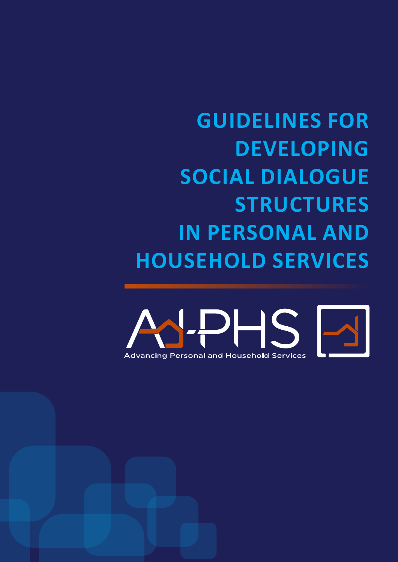### **GUIDELINES FOR DEVELOPING SOCIAL DIALOGUE STRUCTURES IN PERSONAL AND HOUSEHOLD SERVICES**

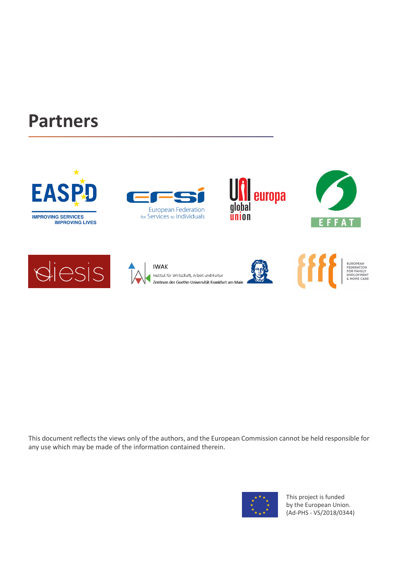### **Partners**

**EAS** 

**IMPROVING SERVICES** 









**IMPROVING LIVES** 









This document reflects the views only of the authors, and the European Commission cannot be held responsible for any use which may be made of the information contained therein.



This project is funded by the European Union. (Ad-PHS - VS/2018/0344)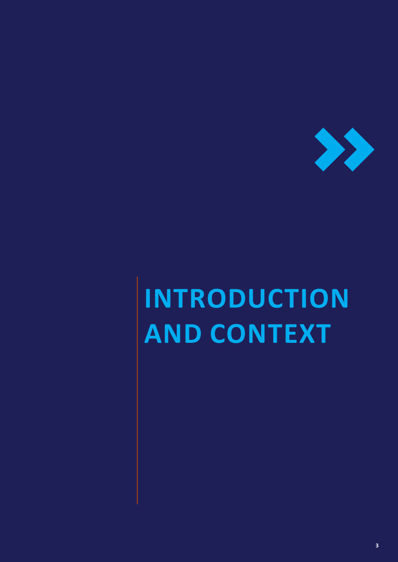

# **INTRODUCTION AND CONTEXT**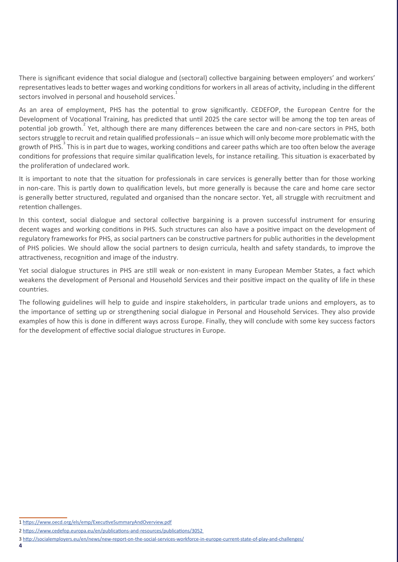There is significant evidence that social dialogue and (sectoral) collective bargaining between employers' and workers' representatives leads to better wages and working conditions for workers in all areas of activity, including in the different sectors involved in personal and household services.<sup>1</sup>

As an area of employment, PHS has the potential to grow significantly. CEDEFOP, the European Centre for the Development of Vocational Training, has predicted that until 2025 the care sector will be among the top ten areas of potential job growth.<sup>2</sup> Yet, although there are many differences between the care and non-care sectors in PHS, both sectors struggle to recruit and retain qualified professionals – an issue which will only become more problematic with the growth of PHS.<sup>3</sup> This is in part due to wages, working conditions and career paths which are too often below the average conditions for professions that require similar qualification levels, for instance retailing. This situation is exacerbated by the proliferation of undeclared work.

It is important to note that the situation for professionals in care services is generally better than for those working in non-care. This is partly down to qualification levels, but more generally is because the care and home care sector is generally better structured, regulated and organised than the noncare sector. Yet, all struggle with recruitment and retention challenges.

In this context, social dialogue and sectoral collective bargaining is a proven successful instrument for ensuring decent wages and working conditions in PHS. Such structures can also have a positive impact on the development of regulatory frameworks for PHS, as social partners can be constructive partners for public authorities in the development of PHS policies. We should allow the social partners to design curricula, health and safety standards, to improve the attractiveness, recognition and image of the industry.

Yet social dialogue structures in PHS are still weak or non-existent in many European Member States, a fact which weakens the development of Personal and Household Services and their positive impact on the quality of life in these countries.

The following guidelines will help to guide and inspire stakeholders, in particular trade unions and employers, as to the importance of setting up or strengthening social dialogue in Personal and Household Services. They also provide examples of how this is done in different ways across Europe. Finally, they will conclude with some key success factors for the development of effective social dialogue structures in Europe.

<sup>1</sup> <https://www.oecd.org/els/emp/ExecutiveSummaryAndOverview.pdf>

<sup>2</sup> [https://www.cedefop.europa.eu/en/publications-and-resources/publications/3052](https://www.cedefop.europa.eu/en/publications-and-resources/publications/3052 ) 

<sup>3</sup> <http://socialemployers.eu/en/news/new-report-on-the-social-services-workforce-in-europe-current-state-of-play-and-challenges/>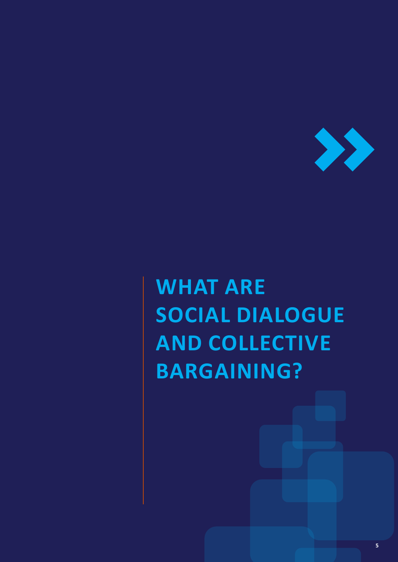

## **WHAT ARE SOCIAL DIALOGUE AND COLLECTIVE BARGAINING?**

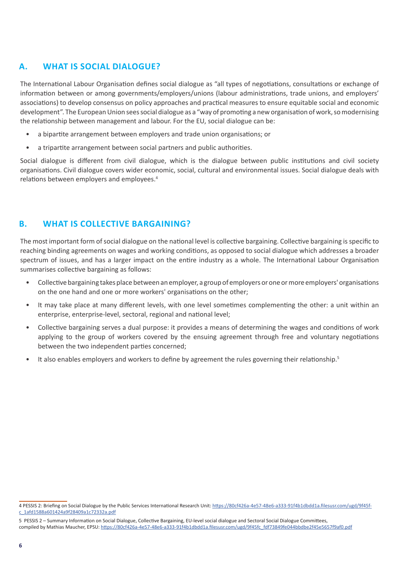#### **A. WHAT IS SOCIAL DIALOGUE?**

The International Labour Organisation defines social dialogue as "all types of negotiations, consultations or exchange of information between or among governments/employers/unions (labour administrations, trade unions, and employers' associations) to develop consensus on policy approaches and practical measures to ensure equitable social and economic development". The European Union sees social dialogue as a "way of promoting a new organisation of work, so modernising the relationship between management and labour. For the EU, social dialogue can be:

- a bipartite arrangement between employers and trade union organisations; or
- a tripartite arrangement between social partners and public authorities.

Social dialogue is different from civil dialogue, which is the dialogue between public institutions and civil society organisations. Civil dialogue covers wider economic, social, cultural and environmental issues. Social dialogue deals with relations between employers and employees.<sup>4</sup>

#### **B. WHAT IS COLLECTIVE BARGAINING?**

The most important form of social dialogue on the national level is collective bargaining. Collective bargaining is specific to reaching binding agreements on wages and working conditions, as opposed to social dialogue which addresses a broader spectrum of issues, and has a larger impact on the entire industry as a whole. The International Labour Organisation summarises collective bargaining as follows:

- Collective bargaining takes place between an employer, a group of employers or one or more employers' organisations on the one hand and one or more workers' organisations on the other;
- It may take place at many different levels, with one level sometimes complementing the other: a unit within an enterprise, enterprise-level, sectoral, regional and national level;
- Collective bargaining serves a dual purpose: it provides a means of determining the wages and conditions of work applying to the group of workers covered by the ensuing agreement through free and voluntary negotiations between the two independent parties concerned;
- It also enables employers and workers to define by agreement the rules governing their relationship.<sup>5</sup>

5 PESSIS 2 – Summary Information on Social Dialogue, Collective Bargaining, EU-level social dialogue and Sectoral Social Dialogue Committees, compiled by Mathias Maucher, EPSU: [https://80cf426a-4e57-48e6-a333-91f4b1dbdd1a.filesusr.com/ugd/9f45fc\\_fdf73849fe044bbdbe2f45e5657f9af0.pdf](https://80cf426a-4e57-48e6-a333-91f4b1dbdd1a.filesusr.com/ugd/9f45fc_fdf73849fe044bbdbe2f45e5657f9af0.pdf)

<sup>4</sup> PESSIS 2: Briefing on Social Dialogue by the Public Services International Research Unit: [https://80cf426a-4e57-48e6-a333-91f4b1dbdd1a.filesusr.com/ugd/9f45f](https://80cf426a-4e57-48e6-a333-91f4b1dbdd1a.filesusr.com/ugd/9f45fc_1afd1588a601424a9f28409a1c72332a.pdf)[c\\_1afd1588a601424a9f28409a1c72332a.pdf](https://80cf426a-4e57-48e6-a333-91f4b1dbdd1a.filesusr.com/ugd/9f45fc_1afd1588a601424a9f28409a1c72332a.pdf)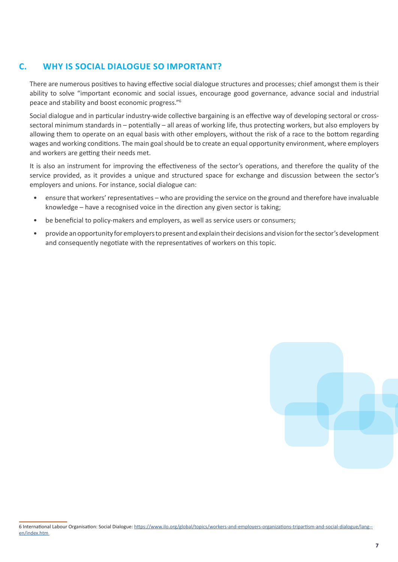#### **C. WHY IS SOCIAL DIALOGUE SO IMPORTANT?**

There are numerous positives to having effective social dialogue structures and processes; chief amongst them is their ability to solve "important economic and social issues, encourage good governance, advance social and industrial peace and stability and boost economic progress."6

Social dialogue and in particular industry-wide collective bargaining is an effective way of developing sectoral or crosssectoral minimum standards in – potentially – all areas of working life, thus protecting workers, but also employers by allowing them to operate on an equal basis with other employers, without the risk of a race to the bottom regarding wages and working conditions. The main goal should be to create an equal opportunity environment, where employers and workers are getting their needs met.

It is also an instrument for improving the effectiveness of the sector's operations, and therefore the quality of the service provided, as it provides a unique and structured space for exchange and discussion between the sector's employers and unions. For instance, social dialogue can:

- ensure that workers' representatives who are providing the service on the ground and therefore have invaluable knowledge – have a recognised voice in the direction any given sector is taking;
- be beneficial to policy-makers and employers, as well as service users or consumers;
- provide an opportunity for employers to present and explain their decisions and vision for the sector's development and consequently negotiate with the representatives of workers on this topic.

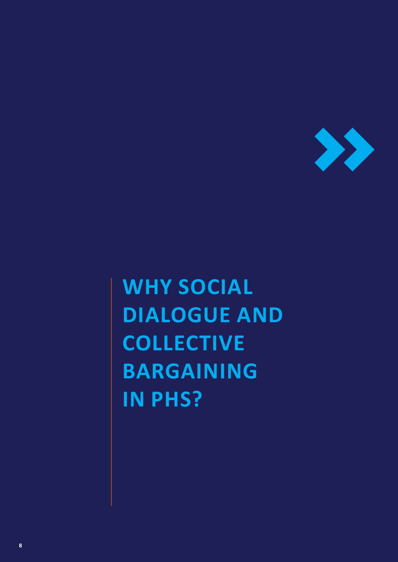

## **WHY SOCIAL DIALOGUE AND COLLECTIVE BARGAINING IN PHS?**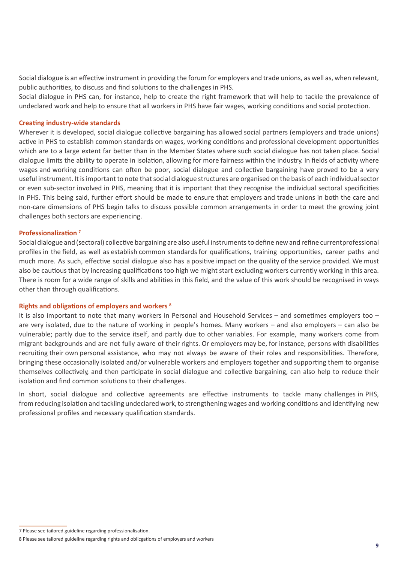Social dialogue is an effective instrument in providing the forum for employers and trade unions, as well as, when relevant, public authorities, to discuss and find solutions to the challenges in PHS.

Social dialogue in PHS can, for instance, help to create the right framework that will help to tackle the prevalence of undeclared work and help to ensure that all workers in PHS have fair wages, working conditions and social protection.

#### **Creating industry-wide standards**

Wherever it is developed, social dialogue collective bargaining has allowed social partners (employers and trade unions) active in PHS to establish common standards on wages, working conditions and professional development opportunities which are to a large extent far better than in the Member States where such social dialogue has not taken place. Social dialogue limits the ability to operate in isolation, allowing for more fairness within the industry. In fields of activity where wages and working conditions can often be poor, social dialogue and collective bargaining have proved to be a very useful instrument. It is important to note that social dialogue structures are organised on the basis of each individual sector or even sub-sector involved in PHS, meaning that it is important that they recognise the individual sectoral specificities in PHS. This being said, further effort should be made to ensure that employers and trade unions in both the care and non-care dimensions of PHS begin talks to discuss possible common arrangements in order to meet the growing joint challenges both sectors are experiencing.

#### **Professionalization <sup>7</sup>**

Social dialogue and (sectoral) collective bargaining are also useful instrumentsto define new and refine currentprofessional profiles in the field, as well as establish common standards for qualifications, training opportunities, career paths and much more. As such, effective social dialogue also has a positive impact on the quality of the service provided. We must also be cautious that by increasing qualifications too high we might start excluding workers currently working in this area. There is room for a wide range of skills and abilities in this field, and the value of this work should be recognised in ways other than through qualifications.

#### **Rights and obligations of employers and workers 8**

It is also important to note that many workers in Personal and Household Services – and sometimes employers too – are very isolated, due to the nature of working in people's homes. Many workers – and also employers – can also be vulnerable; partly due to the service itself, and partly due to other variables. For example, many workers come from migrant backgrounds and are not fully aware of their rights. Or employers may be, for instance, persons with disabilities recruiting their own personal assistance, who may not always be aware of their roles and responsibilities. Therefore, bringing these occasionally isolated and/or vulnerable workers and employers together and supporting them to organise themselves collectively, and then participate in social dialogue and collective bargaining, can also help to reduce their isolation and find common solutions to their challenges.

In short, social dialogue and collective agreements are effective instruments to tackle many challenges in PHS, from reducing isolation and tackling undeclared work, to strengthening wages and working conditions and identifying new professional profiles and necessary qualification standards.

<sup>7</sup> Please see tailored guideline regarding professionalisation.

<sup>8</sup> Please see tailored guideline regarding rights and oblicgations of employers and workers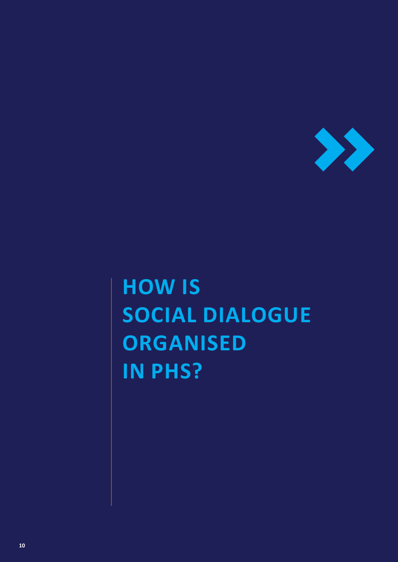

## **HOW IS SOCIAL DIALOGUE ORGANISED IN PHS?**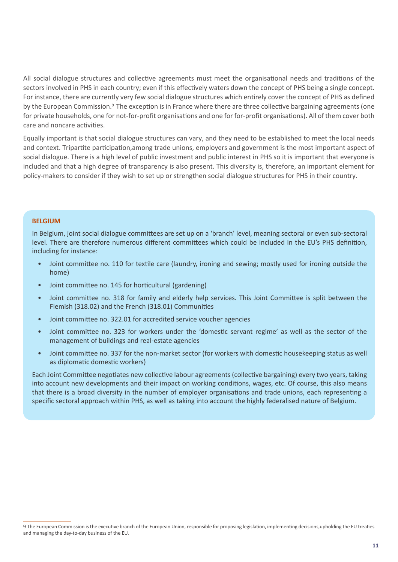All social dialogue structures and collective agreements must meet the organisational needs and traditions of the sectors involved in PHS in each country; even if this effectively waters down the concept of PHS being a single concept. For instance, there are currently very few social dialogue structures which entirely cover the concept of PHS as defined by the European Commission.<sup>9</sup> The exception is in France where there are three collective bargaining agreements (one for private households, one for not-for-profit organisations and one for for-profit organisations). All of them cover both care and noncare activities.

Equally important is that social dialogue structures can vary, and they need to be established to meet the local needs and context. Tripartite participation,among trade unions, employers and government is the most important aspect of social dialogue. There is a high level of public investment and public interest in PHS so it is important that everyone is included and that a high degree of transparency is also present. This diversity is, therefore, an important element for policy-makers to consider if they wish to set up or strengthen social dialogue structures for PHS in their country.

#### **BELGIUM**

In Belgium, joint social dialogue committees are set up on a 'branch' level, meaning sectoral or even sub-sectoral level. There are therefore numerous different committees which could be included in the EU's PHS definition, including for instance:

- Joint committee no. 110 for textile care (laundry, ironing and sewing; mostly used for ironing outside the home)
- Joint committee no. 145 for horticultural (gardening)
- Joint committee no. 318 for family and elderly help services. This Joint Committee is split between the Flemish (318.02) and the French (318.01) Communities
- Joint committee no. 322.01 for accredited service voucher agencies
- Joint committee no. 323 for workers under the 'domestic servant regime' as well as the sector of the management of buildings and real-estate agencies
- Joint committee no. 337 for the non-market sector (for workers with domestic housekeeping status as well as diplomatic domestic workers)

Each Joint Committee negotiates new collective labour agreements (collective bargaining) every two years, taking into account new developments and their impact on working conditions, wages, etc. Of course, this also means that there is a broad diversity in the number of employer organisations and trade unions, each representing a specific sectoral approach within PHS, as well as taking into account the highly federalised nature of Belgium.

<sup>9</sup> The European Commission is the executive branch of the European Union, responsible for proposing legislation, implementing decisions,upholding the EU treaties and managing the day-to-day business of the EU.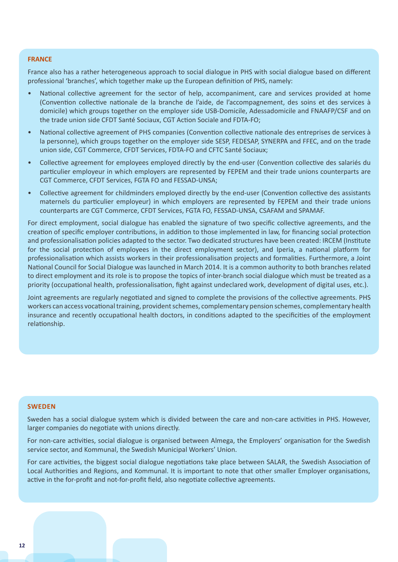#### **FRANCE**

France also has a rather heterogeneous approach to social dialogue in PHS with social dialogue based on different professional 'branches', which together make up the European definition of PHS, namely:

- National collective agreement for the sector of help, accompaniment, care and services provided at home (Convention collective nationale de la branche de l'aide, de l'accompagnement, des soins et des services à domicile) which groups together on the employer side USB-Domicile, Adessadomicile and FNAAFP/CSF and on the trade union side CFDT Santé Sociaux, CGT Action Sociale and FDTA-FO;
- National collective agreement of PHS companies (Convention collective nationale des entreprises de services à la personne), which groups together on the employer side SESP, FEDESAP, SYNERPA and FFEC, and on the trade union side, CGT Commerce, CFDT Services, FDTA-FO and CFTC Santé Sociaux;
- Collective agreement for employees employed directly by the end-user (Convention collective des salariés du particulier employeur in which employers are represented by FEPEM and their trade unions counterparts are CGT Commerce, CFDT Services, FGTA FO and FESSAD-UNSA;
- Collective agreement for childminders employed directly by the end-user (Convention collective des assistants maternels du particulier employeur) in which employers are represented by FEPEM and their trade unions counterparts are CGT Commerce, CFDT Services, FGTA FO, FESSAD-UNSA, CSAFAM and SPAMAF.

For direct employment, social dialogue has enabled the signature of two specific collective agreements, and the creation of specific employer contributions, in addition to those implemented in law, for financing social protection and professionalisation policies adapted to the sector. Two dedicated structures have been created: IRCEM (Institute for the social protection of employees in the direct employment sector), and Iperia, a national platform for professionalisation which assists workers in their professionalisation projects and formalities. Furthermore, a Joint National Council for Social Dialogue was launched in March 2014. It is a common authority to both branches related to direct employment and its role is to propose the topics of inter-branch social dialogue which must be treated as a priority (occupational health, professionalisation, fight against undeclared work, development of digital uses, etc.).

Joint agreements are regularly negotiated and signed to complete the provisions of the collective agreements. PHS workers can access vocational training, provident schemes, complementary pension schemes, complementary health insurance and recently occupational health doctors, in conditions adapted to the specificities of the employment relationship.

#### **SWEDEN**

Sweden has a social dialogue system which is divided between the care and non-care activities in PHS. However, larger companies do negotiate with unions directly.

For non-care activities, social dialogue is organised between Almega, the Employers' organisation for the Swedish service sector, and Kommunal, the Swedish Municipal Workers' Union.

For care activities, the biggest social dialogue negotiations take place between SALAR, the Swedish Association of Local Authorities and Regions, and Kommunal. It is important to note that other smaller Employer organisations, active in the for-profit and not-for-profit field, also negotiate collective agreements.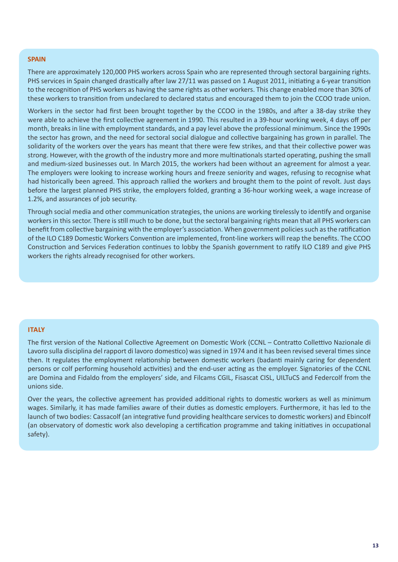#### **SPAIN**

There are approximately 120,000 PHS workers across Spain who are represented through sectoral bargaining rights. PHS services in Spain changed drastically after law 27/11 was passed on 1 August 2011, initiating a 6-year transition to the recognition of PHS workers as having the same rights as other workers. This change enabled more than 30% of these workers to transition from undeclared to declared status and encouraged them to join the CCOO trade union.

Workers in the sector had first been brought together by the CCOO in the 1980s, and after a 38-day strike they were able to achieve the first collective agreement in 1990. This resulted in a 39-hour working week, 4 days off per month, breaks in line with employment standards, and a pay level above the professional minimum. Since the 1990s the sector has grown, and the need for sectoral social dialogue and collective bargaining has grown in parallel. The solidarity of the workers over the years has meant that there were few strikes, and that their collective power was strong. However, with the growth of the industry more and more multinationals started operating, pushing the small and medium-sized businesses out. In March 2015, the workers had been without an agreement for almost a year. The employers were looking to increase working hours and freeze seniority and wages, refusing to recognise what had historically been agreed. This approach rallied the workers and brought them to the point of revolt. Just days before the largest planned PHS strike, the employers folded, granting a 36-hour working week, a wage increase of 1.2%, and assurances of job security.

Through social media and other communication strategies, the unions are working tirelessly to identify and organise workers in this sector. There is still much to be done, but the sectoral bargaining rights mean that all PHS workers can benefit from collective bargaining with the employer's association. When government policies such as the ratification of the ILO C189 Domestic Workers Convention are implemented, front-line workers will reap the benefits. The CCOO Construction and Services Federation continues to lobby the Spanish government to ratify ILO C189 and give PHS workers the rights already recognised for other workers.

#### **ITALY**

The first version of the National Collective Agreement on Domestic Work (CCNL – Contratto Collettivo Nazionale di Lavoro sulla disciplina del rapport di lavoro domestico) was signed in 1974 and it has been revised several times since then. It regulates the employment relationship between domestic workers (badanti mainly caring for dependent persons or colf performing household activities) and the end-user acting as the employer. Signatories of the CCNL are Domina and Fidaldo from the employers' side, and Filcams CGIL, Fisascat CISL, UILTuCS and Federcolf from the unions side.

Over the years, the collective agreement has provided additional rights to domestic workers as well as minimum wages. Similarly, it has made families aware of their duties as domestic employers. Furthermore, it has led to the launch of two bodies: Cassacolf (an integrative fund providing healthcare services to domestic workers) and Ebincolf (an observatory of domestic work also developing a certification programme and taking initiatives in occupational safety).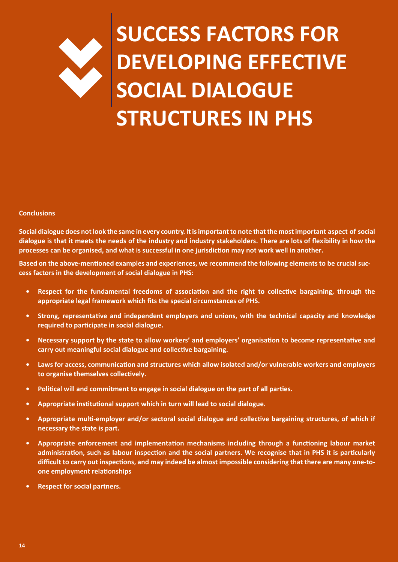### >> **SUCCESS FACTORS FOR DEVELOPING EFFECTIVE SOCIAL DIALOGUE STRUCTURES IN PHS**

#### **Conclusions**

Social dialogue does not look the same in every country. It is important to note that the most important aspect of social **dialogue is that it meets the needs of the industry and industry stakeholders. There are lots of flexibility in how the processes can be organised, and what is successful in one jurisdiction may not work well in another.**

**Based on the above-mentioned examples and experiences, we recommend the following elements to be crucial success factors in the development of social dialogue in PHS:**

- **• Respect for the fundamental freedoms of association and the right to collective bargaining, through the appropriate legal framework which fits the special circumstances of PHS.**
- **• Strong, representative and independent employers and unions, with the technical capacity and knowledge required to participate in social dialogue.**
- **• Necessary support by the state to allow workers' and employers' organisation to become representative and carry out meaningful social dialogue and collective bargaining.**
- **• Laws for access, communication and structures which allow isolated and/or vulnerable workers and employers to organise themselves collectively.**
- **• Political will and commitment to engage in social dialogue on the part of all parties.**
- **• Appropriate institutional support which in turn will lead to social dialogue.**
- **• Appropriate multi-employer and/or sectoral social dialogue and collective bargaining structures, of which if necessary the state is part.**
- **• Appropriate enforcement and implementation mechanisms including through a functioning labour market administration, such as labour inspection and the social partners. We recognise that in PHS it is particularly difficult to carry out inspections, and may indeed be almost impossible considering that there are many one-toone employment relationships**
- **• Respect for social partners.**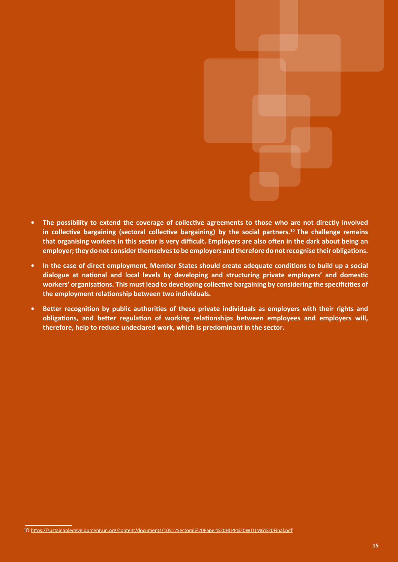

- **• The possibility to extend the coverage of collective agreements to those who are not directly involved in collective bargaining (sectoral collective bargaining) by the social partners.<sup>10</sup> The challenge remains that organising workers in this sector is very difficult. Employers are also often in the dark about being an employer; they do not consider themselves to be employers and therefore do not recognise their obligations.**
- **• In the case of direct employment, Member States should create adequate conditions to build up a social dialogue at national and local levels by developing and structuring private employers' and domestic workers' organisations. This must lead to developing collective bargaining by considering the specificities of the employment relationship between two individuals.**
- **• Better recognition by public authorities of these private individuals as employers with their rights and obligations, and better regulation of working relationships between employees and employers will, therefore, help to reduce undeclared work, which is predominant in the sector.**

<sup>10</sup> <https://sustainabledevelopment.un.org/content/documents/10512Sectoral%20Paper%20HLPF%20WTUMG%20Final.pdf>